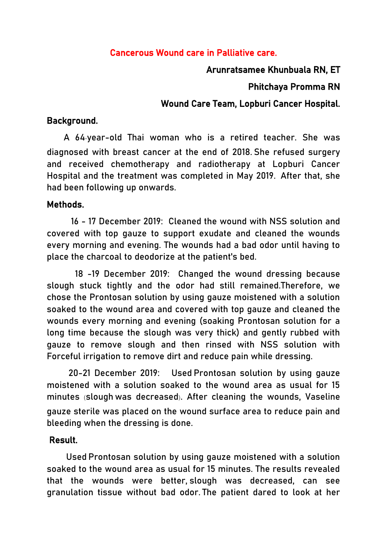# Cancerous Wound care in Palliative care.

### Arunratsamee Khunbuala RN, ET

### Phitchaya Promma RN

# Wound Care Team, Lopburi Cancer Hospital.

# Background.

 A 64-year-old Thai woman who is a retired teacher. She was diagnosed with breast cancer at the end of 2018. She refused surgery and received chemotherapy and radiotherapy at Lopburi Cancer Hospital and the treatment was completed in May 2019. After that, she had been following up onwards.

### Methods.

 16 - 17 December 2019: Cleaned the wound with NSS solution and covered with top gauze to support exudate and cleaned the wounds every morning and evening. The wounds had a bad odor until having to place the charcoal to deodorize at the patient's bed.

 18 -19 December 2019: Changed the wound dressing because slough stuck tightly and the odor had still remained.Therefore, we chose the Prontosan solution by using gauze moistened with a solution soaked to the wound area and covered with top gauze and cleaned the wounds every morning and evening (soaking Prontosan solution for a long time because the slough was very thick) and gently rubbed with gauze to remove slough and then rinsed with NSS solution with Forceful irrigation to remove dirt and reduce pain while dressing.

 20-21 December 2019: Used Prontosan solution by using gauze moistened with a solution soaked to the wound area as usual for 15 minutes (slough was decreased). After cleaning the wounds, Vaseline gauze sterile was placed on the wound surface area to reduce pain and bleeding when the dressing is done.

#### Result.

 Used Prontosan solution by using gauze moistened with a solution soaked to the wound area as usual for 15 minutes. The results revealed that the wounds were better, slough was decreased, can see granulation tissue without bad odor. The patient dared to look at her